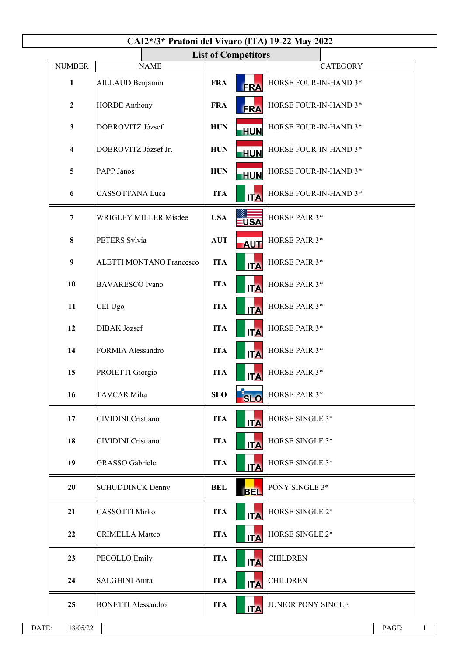| CAI2*/3* Pratoni del Vivaro (ITA) 19-22 May 2022 |                         |                                      |                                                   |            |                                                                         |  |  |  |  |  |  |  |
|--------------------------------------------------|-------------------------|--------------------------------------|---------------------------------------------------|------------|-------------------------------------------------------------------------|--|--|--|--|--|--|--|
| <b>List of Competitors</b>                       |                         |                                      |                                                   |            |                                                                         |  |  |  |  |  |  |  |
|                                                  | <b>NUMBER</b>           | <b>NAME</b>                          |                                                   |            | <b>CATEGORY</b>                                                         |  |  |  |  |  |  |  |
|                                                  | $\mathbf{1}$            | AILLAUD Benjamin                     | <b>FRA</b>                                        | <b>FRA</b> | HORSE FOUR-IN-HAND 3*                                                   |  |  |  |  |  |  |  |
|                                                  | $\mathbf{2}$            | <b>HORDE Anthony</b>                 | <b>FRA</b>                                        | <b>FRA</b> | HORSE FOUR-IN-HAND 3*<br>HORSE FOUR-IN-HAND 3*<br>HORSE FOUR-IN-HAND 3* |  |  |  |  |  |  |  |
|                                                  | $\mathbf{3}$            | DOBROVITZ József                     | <b>HUN</b>                                        | <b>HUN</b> |                                                                         |  |  |  |  |  |  |  |
|                                                  | $\overline{\mathbf{4}}$ | DOBROVITZ József Jr.                 | <b>HUN</b>                                        | <b>HUN</b> |                                                                         |  |  |  |  |  |  |  |
|                                                  | 5                       | PAPP János                           | <b>HUN</b>                                        | <b>HUN</b> | HORSE FOUR-IN-HAND 3*                                                   |  |  |  |  |  |  |  |
|                                                  | 6                       | <b>CASSOTTANA Luca</b>               | <b>ITA</b><br>HORSE FOUR-IN-HAND 3*<br><b>ITA</b> |            |                                                                         |  |  |  |  |  |  |  |
|                                                  | $\overline{7}$          | <b>WRIGLEY MILLER Misdee</b>         | HORSE PAIR 3*                                     |            |                                                                         |  |  |  |  |  |  |  |
|                                                  | 8<br>PETERS Sylvia      |                                      | <b>AUT</b>                                        | <b>AUT</b> | HORSE PAIR 3*                                                           |  |  |  |  |  |  |  |
|                                                  | $\boldsymbol{9}$        | <b>ALETTI MONTANO Francesco</b>      | <b>ITA</b>                                        | <b>ITA</b> | HORSE PAIR 3*                                                           |  |  |  |  |  |  |  |
| 10                                               |                         | <b>BAVARESCO</b> Ivano               | <b>ITA</b>                                        | <b>ITA</b> | HORSE PAIR 3*                                                           |  |  |  |  |  |  |  |
|                                                  | 11                      | CEI Ugo<br>12<br><b>DIBAK</b> Jozsef |                                                   | <b>ITA</b> | HORSE PAIR 3*                                                           |  |  |  |  |  |  |  |
|                                                  |                         |                                      |                                                   | <b>ITA</b> | HORSE PAIR 3*                                                           |  |  |  |  |  |  |  |
|                                                  | 14                      | FORMIA Alessandro                    | <b>ITA</b>                                        | <b>ITA</b> | HORSE PAIR 3*                                                           |  |  |  |  |  |  |  |
|                                                  | 15                      | PROIETTI Giorgio                     | <b>ITA</b>                                        | <b>ITA</b> | HORSE PAIR 3*                                                           |  |  |  |  |  |  |  |
|                                                  | 16                      | TAVCAR Miha                          | <b>SLO</b>                                        | <b>SLO</b> | HORSE PAIR 3*                                                           |  |  |  |  |  |  |  |
|                                                  | 17                      | CIVIDINI Cristiano                   | <b>ITA</b>                                        | <b>ITA</b> | HORSE SINGLE 3*                                                         |  |  |  |  |  |  |  |
|                                                  | 18                      | CIVIDINI Cristiano                   | <b>ITA</b>                                        | <b>ITA</b> | HORSE SINGLE 3*                                                         |  |  |  |  |  |  |  |
|                                                  | 19                      | <b>GRASSO</b> Gabriele               | <b>ITA</b>                                        | <b>ITA</b> | HORSE SINGLE 3*                                                         |  |  |  |  |  |  |  |
|                                                  | 20                      | <b>SCHUDDINCK Denny</b>              | <b>BEL</b>                                        | <b>BEL</b> | PONY SINGLE 3*                                                          |  |  |  |  |  |  |  |
|                                                  | 21                      | CASSOTTI Mirko                       | <b>ITA</b>                                        | <b>ITA</b> | HORSE SINGLE 2*                                                         |  |  |  |  |  |  |  |
|                                                  | 22                      | <b>CRIMELLA Matteo</b>               | <b>ITA</b>                                        | <b>ITA</b> | HORSE SINGLE 2*                                                         |  |  |  |  |  |  |  |
|                                                  | 23                      | <b>PECOLLO Emily</b>                 | <b>ITA</b>                                        | <b>ITA</b> | <b>CHILDREN</b>                                                         |  |  |  |  |  |  |  |
|                                                  | 24                      | SALGHINI Anita                       | <b>ITA</b>                                        | <b>ITA</b> | <b>CHILDREN</b>                                                         |  |  |  |  |  |  |  |
|                                                  | 25                      | <b>BONETTI Alessandro</b>            | <b>ITA</b>                                        | <b>ITA</b> | JUNIOR PONY SINGLE                                                      |  |  |  |  |  |  |  |
|                                                  |                         |                                      |                                                   |            |                                                                         |  |  |  |  |  |  |  |